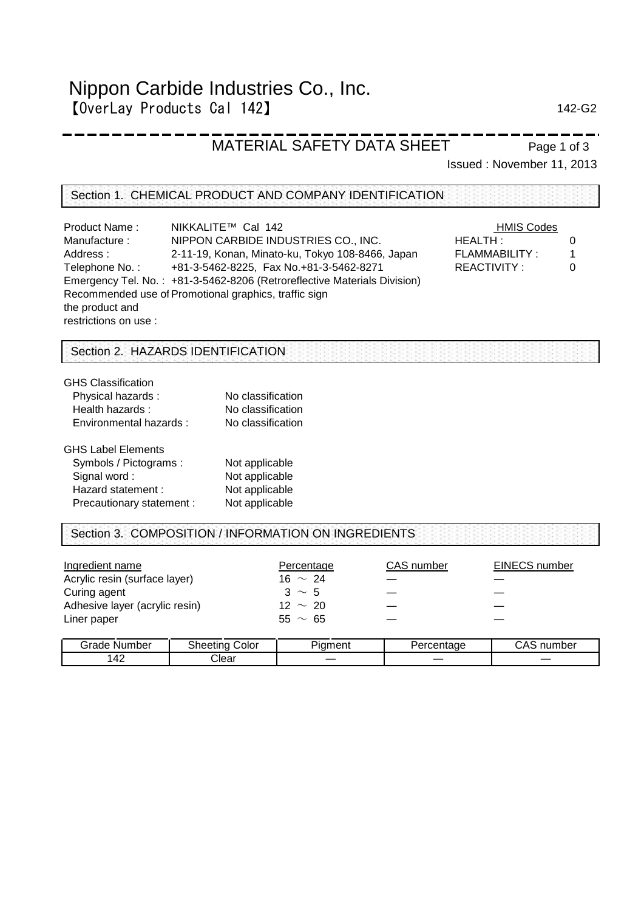# Nippon Carbide Industries Co., Inc. 【OverLay Products Cal 142】 142-G2

Page 1 of 3

## MATERIAL SAFETY DATA SHEET

Issued : November 11, 2013

#### Section 1. CHEMICAL PRODUCT AND COMPANY IDENTIFICATION

| <b>Product Name:</b>  | NIKKALITE™ Cal 142                                                       | <b>HMIS Codes</b> |   |
|-----------------------|--------------------------------------------------------------------------|-------------------|---|
| Manufacture:          | NIPPON CARBIDE INDUSTRIES CO., INC.                                      | HEALTH:           |   |
| Address:              | 2-11-19, Konan, Minato-ku, Tokyo 108-8466, Japan                         | FLAMMABILITY:     | 1 |
| Telephone No.:        | +81-3-5462-8225, Fax No.+81-3-5462-8271                                  | REACTIVITY:       | C |
|                       | Emergency Tel. No.: +81-3-5462-8206 (Retroreflective Materials Division) |                   |   |
|                       | Recommended use of Promotional graphics, traffic sign                    |                   |   |
| the product and       |                                                                          |                   |   |
| restrictions on use : |                                                                          |                   |   |

## Section 2. HAZARDS IDENTIFICATION

| <b>GHS Classification</b> |                   |
|---------------------------|-------------------|
| Physical hazards:         | No classification |
| Health hazards:           | No classification |
| Environmental hazards :   | No classification |
| <b>GHS Label Elements</b> |                   |
| Symbols / Pictograms:     | Not applicable    |
| Signal word:              | Not applicable    |
| Hazard statement:         | Not applicable    |
| Precautionary statement : | Not applicable    |
|                           |                   |

#### Section 3. COMPOSITION / INFORMATION ON INGREDIENTS

| Ingredient name                | Percentage   | CAS number | EINECS number |
|--------------------------------|--------------|------------|---------------|
| Acrylic resin (surface layer)  | 16 $\sim$ 24 |            |               |
| Curing agent                   | $3 \sim 5$   |            |               |
| Adhesive layer (acrylic resin) | $12 \sim 20$ |            |               |
| Liner paper                    | $55 \sim 65$ |            |               |
|                                |              |            |               |

| arade<br>Number | Color<br>sheetina | -<br>hament? | Percentage | ے م<br>number<br>UNJ |
|-----------------|-------------------|--------------|------------|----------------------|
| $\Lambda$<br>.  | Clear             |              |            |                      |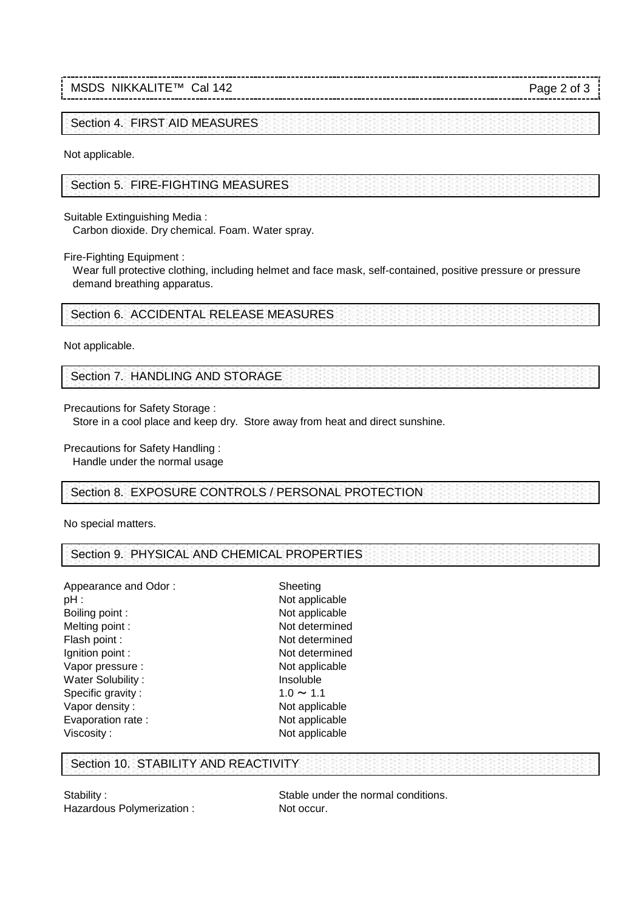## MSDS NIKKALITE™ Cal 142

Page 2 of 3

Section 4. FIRST AID MEASURES

Not applicable.

Section 5. FIRE-FIGHTING MEASURES

Suitable Extinguishing Media :

Carbon dioxide. Dry chemical. Foam. Water spray.

Fire-Fighting Equipment :

 demand breathing apparatus. Wear full protective clothing, including helmet and face mask, self-contained, positive pressure or pressure

Section 6. ACCIDENTAL RELEASE MEASURES

Not applicable.

Section 7. HANDLING AND STORAGE

Precautions for Safety Storage :

Store in a cool place and keep dry. Store away from heat and direct sunshine.

Precautions for Safety Handling :

Handle under the normal usage

Section 8. EXPOSURE CONTROLS / PERSONAL PROTECTION

No special matters.

Section 9. PHYSICAL AND CHEMICAL PROPERTIES

Appearance and Odor : Sheeting pH : Not applicable Boiling point : Not applicable Melting point : Not determined Flash point : Not determined Ignition point : Not determined Vapor pressure : Not applicable Water Solubility : **Insoluble** Specific gravity :  $1.0 \sim 1.1$ <br>Vapor density :  $1.0 \sim 1.1$ Vapor density : Evaporation rate : Not applicable Viscosity : Not applicable

### Section 10. STABILITY AND REACTIVITY

Hazardous Polymerization : Not occur.

Stability : Stable under the normal conditions.